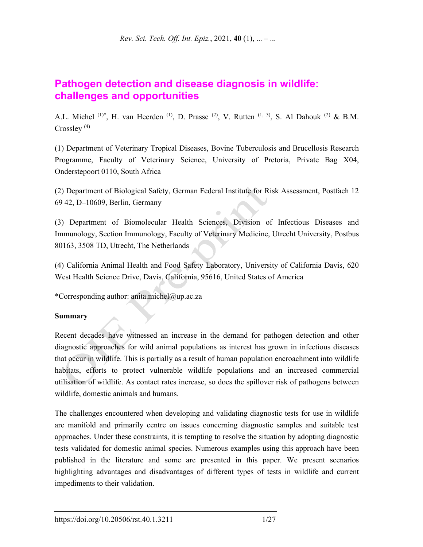# **Pathogen detection and disease diagnosis in wildlife: challenges and opportunities**

A.L. Michel  $(1)^*$ , H. van Heerden  $(1)$ , D. Prasse  $(2)$ , V. Rutten  $(1, 3)$ , S. Al Dahouk  $(2)$  & B.M. Crossley  $(4)$ 

(1) Department of Veterinary Tropical Diseases, Bovine Tuberculosis and Brucellosis Research Programme, Faculty of Veterinary Science, University of Pretoria, Private Bag X04, Onderstepoort 0110, South Africa

(2) Department of Biological Safety, German Federal Institute for Risk Assessment, Postfach 12 69 42, D–10609, Berlin, Germany

(3) Department of Biomolecular Health Sciences, Division of Infectious Diseases and Immunology, Section Immunology, Faculty of Veterinary Medicine, Utrecht University, Postbus 80163, 3508 TD, Utrecht, The Netherlands

(4) California Animal Health and Food Safety Laboratory, University of California Davis, 620 West Health Science Drive, Davis, California, 95616, United States of America

\*Corresponding author: anita.michel@up.ac.za

## **Summary**

Recent decades have witnessed an increase in the demand for pathogen detection and other diagnostic approaches for wild animal populations as interest has grown in infectious diseases that occur in wildlife. This is partially as a result of human population encroachment into wildlife habitats, efforts to protect vulnerable wildlife populations and an increased commercial utilisation of wildlife. As contact rates increase, so does the spillover risk of pathogens between wildlife, domestic animals and humans.

The challenges encountered when developing and validating diagnostic tests for use in wildlife are manifold and primarily centre on issues concerning diagnostic samples and suitable test approaches. Under these constraints, it is tempting to resolve the situation by adopting diagnostic tests validated for domestic animal species. Numerous examples using this approach have been published in the literature and some are presented in this paper. We present scenarios highlighting advantages and disadvantages of different types of tests in wildlife and current impediments to their validation.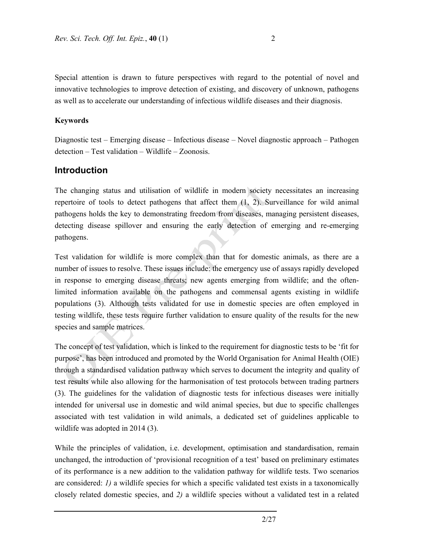Special attention is drawn to future perspectives with regard to the potential of novel and innovative technologies to improve detection of existing, and discovery of unknown, pathogens as well as to accelerate our understanding of infectious wildlife diseases and their diagnosis.

### **Keywords**

Diagnostic test – Emerging disease – Infectious disease – Novel diagnostic approach – Pathogen detection – Test validation – Wildlife – Zoonosis.

## **Introduction**

The changing status and utilisation of wildlife in modern society necessitates an increasing repertoire of tools to detect pathogens that affect them (1, 2). Surveillance for wild animal pathogens holds the key to demonstrating freedom from diseases, managing persistent diseases, detecting disease spillover and ensuring the early detection of emerging and re-emerging pathogens.

Test validation for wildlife is more complex than that for domestic animals, as there are a number of issues to resolve. These issues include: the emergency use of assays rapidly developed in response to emerging disease threats; new agents emerging from wildlife; and the oftenlimited information available on the pathogens and commensal agents existing in wildlife populations (3). Although tests validated for use in domestic species are often employed in testing wildlife, these tests require further validation to ensure quality of the results for the new species and sample matrices.

The concept of test validation, which is linked to the requirement for diagnostic tests to be 'fit for purpose', has been introduced and promoted by the World Organisation for Animal Health (OIE) through a standardised validation pathway which serves to document the integrity and quality of test results while also allowing for the harmonisation of test protocols between trading partners (3). The guidelines for the validation of diagnostic tests for infectious diseases were initially intended for universal use in domestic and wild animal species, but due to specific challenges associated with test validation in wild animals, a dedicated set of guidelines applicable to wildlife was adopted in 2014 (3).

While the principles of validation, i.e. development, optimisation and standardisation, remain unchanged, the introduction of 'provisional recognition of a test' based on preliminary estimates of its performance is a new addition to the validation pathway for wildlife tests. Two scenarios are considered: *1)* a wildlife species for which a specific validated test exists in a taxonomically closely related domestic species, and *2)* a wildlife species without a validated test in a related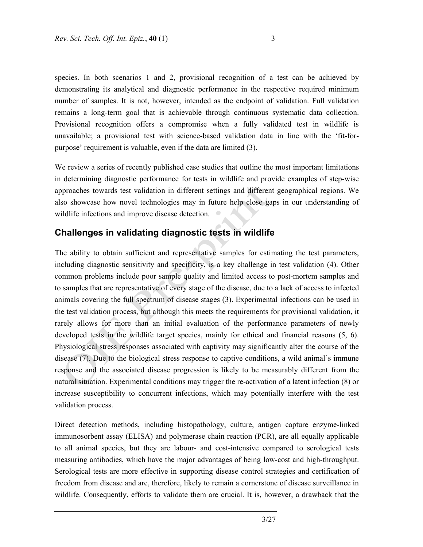species. In both scenarios 1 and 2, provisional recognition of a test can be achieved by demonstrating its analytical and diagnostic performance in the respective required minimum number of samples. It is not, however, intended as the endpoint of validation. Full validation remains a long-term goal that is achievable through continuous systematic data collection. Provisional recognition offers a compromise when a fully validated test in wildlife is unavailable; a provisional test with science-based validation data in line with the 'fit-forpurpose' requirement is valuable, even if the data are limited (3).

We review a series of recently published case studies that outline the most important limitations in determining diagnostic performance for tests in wildlife and provide examples of step-wise approaches towards test validation in different settings and different geographical regions. We also showcase how novel technologies may in future help close gaps in our understanding of wildlife infections and improve disease detection.

## **Challenges in validating diagnostic tests in wildlife**

The ability to obtain sufficient and representative samples for estimating the test parameters, including diagnostic sensitivity and specificity, is a key challenge in test validation (4). Other common problems include poor sample quality and limited access to post-mortem samples and to samples that are representative of every stage of the disease, due to a lack of access to infected animals covering the full spectrum of disease stages (3). Experimental infections can be used in the test validation process, but although this meets the requirements for provisional validation, it rarely allows for more than an initial evaluation of the performance parameters of newly developed tests in the wildlife target species, mainly for ethical and financial reasons (5, 6). Physiological stress responses associated with captivity may significantly alter the course of the disease (7). Due to the biological stress response to captive conditions, a wild animal's immune response and the associated disease progression is likely to be measurably different from the natural situation. Experimental conditions may trigger the re-activation of a latent infection (8) or increase susceptibility to concurrent infections, which may potentially interfere with the test validation process.

Direct detection methods, including histopathology, culture, antigen capture enzyme-linked immunosorbent assay (ELISA) and polymerase chain reaction (PCR), are all equally applicable to all animal species, but they are labour- and cost-intensive compared to serological tests measuring antibodies, which have the major advantages of being low-cost and high-throughput. Serological tests are more effective in supporting disease control strategies and certification of freedom from disease and are, therefore, likely to remain a cornerstone of disease surveillance in wildlife. Consequently, efforts to validate them are crucial. It is, however, a drawback that the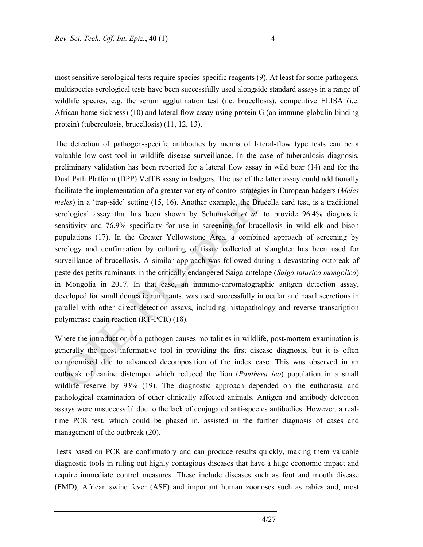most sensitive serological tests require species-specific reagents (9). At least for some pathogens, multispecies serological tests have been successfully used alongside standard assays in a range of wildlife species, e.g. the serum agglutination test (i.e. brucellosis), competitive ELISA (i.e. African horse sickness) (10) and lateral flow assay using protein G (an immune-globulin-binding protein) (tuberculosis, brucellosis) (11, 12, 13).

The detection of pathogen-specific antibodies by means of lateral-flow type tests can be a valuable low-cost tool in wildlife disease surveillance. In the case of tuberculosis diagnosis, preliminary validation has been reported for a lateral flow assay in wild boar (14) and for the Dual Path Platform (DPP) VetTB assay in badgers. The use of the latter assay could additionally facilitate the implementation of a greater variety of control strategies in European badgers (*Meles meles*) in a 'trap-side' setting (15, 16). Another example, the Brucella card test, is a traditional serological assay that has been shown by Schumaker *et al.* to provide 96.4% diagnostic sensitivity and 76.9% specificity for use in screening for brucellosis in wild elk and bison populations (17). In the Greater Yellowstone Area, a combined approach of screening by serology and confirmation by culturing of tissue collected at slaughter has been used for surveillance of brucellosis. A similar approach was followed during a devastating outbreak of peste des petits ruminants in the critically endangered Saiga antelope (*Saiga tatarica mongolica*) in Mongolia in 2017. In that case, an immuno-chromatographic antigen detection assay, developed for small domestic ruminants, was used successfully in ocular and nasal secretions in parallel with other direct detection assays, including histopathology and reverse transcription polymerase chain reaction (RT-PCR) (18).

Where the introduction of a pathogen causes mortalities in wildlife, post-mortem examination is generally the most informative tool in providing the first disease diagnosis, but it is often compromised due to advanced decomposition of the index case. This was observed in an outbreak of canine distemper which reduced the lion (*Panthera leo*) population in a small wildlife reserve by 93% (19). The diagnostic approach depended on the euthanasia and pathological examination of other clinically affected animals. Antigen and antibody detection assays were unsuccessful due to the lack of conjugated anti-species antibodies. However, a realtime PCR test, which could be phased in, assisted in the further diagnosis of cases and management of the outbreak (20).

Tests based on PCR are confirmatory and can produce results quickly, making them valuable diagnostic tools in ruling out highly contagious diseases that have a huge economic impact and require immediate control measures. These include diseases such as foot and mouth disease (FMD), African swine fever (ASF) and important human zoonoses such as rabies and, most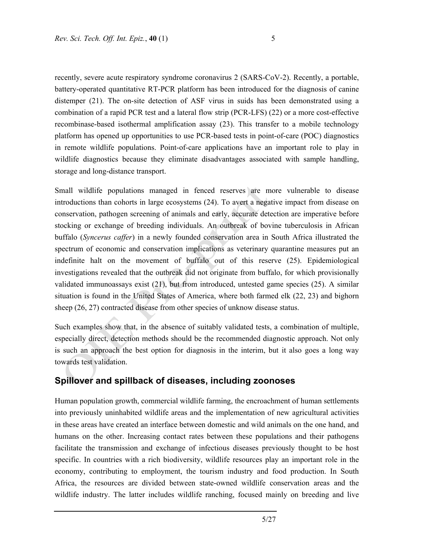recently, severe acute respiratory syndrome coronavirus 2 (SARS-CoV-2). Recently, a portable, battery-operated quantitative RT-PCR platform has been introduced for the diagnosis of canine distemper (21). The on-site detection of ASF virus in suids has been demonstrated using a combination of a rapid PCR test and a lateral flow strip (PCR-LFS) (22) or a more cost-effective recombinase-based isothermal amplification assay (23). This transfer to a mobile technology platform has opened up opportunities to use PCR-based tests in point-of-care (POC) diagnostics in remote wildlife populations. Point-of-care applications have an important role to play in wildlife diagnostics because they eliminate disadvantages associated with sample handling, storage and long-distance transport.

Small wildlife populations managed in fenced reserves are more vulnerable to disease introductions than cohorts in large ecosystems (24). To avert a negative impact from disease on conservation, pathogen screening of animals and early, accurate detection are imperative before stocking or exchange of breeding individuals. An outbreak of bovine tuberculosis in African buffalo (*Syncerus caffer*) in a newly founded conservation area in South Africa illustrated the spectrum of economic and conservation implications as veterinary quarantine measures put an indefinite halt on the movement of buffalo out of this reserve (25). Epidemiological investigations revealed that the outbreak did not originate from buffalo, for which provisionally validated immunoassays exist (21), but from introduced, untested game species (25). A similar situation is found in the United States of America, where both farmed elk (22, 23) and bighorn sheep (26, 27) contracted disease from other species of unknow disease status.

Such examples show that, in the absence of suitably validated tests, a combination of multiple, especially direct, detection methods should be the recommended diagnostic approach. Not only is such an approach the best option for diagnosis in the interim, but it also goes a long way towards test validation.

# **Spillover and spillback of diseases, including zoonoses**

Human population growth, commercial wildlife farming, the encroachment of human settlements into previously uninhabited wildlife areas and the implementation of new agricultural activities in these areas have created an interface between domestic and wild animals on the one hand, and humans on the other. Increasing contact rates between these populations and their pathogens facilitate the transmission and exchange of infectious diseases previously thought to be host specific. In countries with a rich biodiversity, wildlife resources play an important role in the economy, contributing to employment, the tourism industry and food production. In South Africa, the resources are divided between state-owned wildlife conservation areas and the wildlife industry. The latter includes wildlife ranching, focused mainly on breeding and live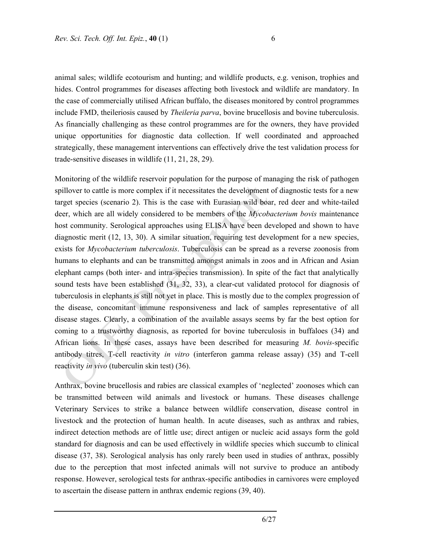animal sales; wildlife ecotourism and hunting; and wildlife products, e.g. venison, trophies and hides. Control programmes for diseases affecting both livestock and wildlife are mandatory. In the case of commercially utilised African buffalo, the diseases monitored by control programmes include FMD, theileriosis caused by *Theileria parva*, bovine brucellosis and bovine tuberculosis. As financially challenging as these control programmes are for the owners, they have provided unique opportunities for diagnostic data collection. If well coordinated and approached strategically, these management interventions can effectively drive the test validation process for trade-sensitive diseases in wildlife (11, 21, 28, 29).

Monitoring of the wildlife reservoir population for the purpose of managing the risk of pathogen spillover to cattle is more complex if it necessitates the development of diagnostic tests for a new target species (scenario 2). This is the case with Eurasian wild boar, red deer and white-tailed deer, which are all widely considered to be members of the *Mycobacterium bovis* maintenance host community. Serological approaches using ELISA have been developed and shown to have diagnostic merit (12, 13, 30). A similar situation, requiring test development for a new species, exists for *Mycobacterium tuberculosis*. Tuberculosis can be spread as a reverse zoonosis from humans to elephants and can be transmitted amongst animals in zoos and in African and Asian elephant camps (both inter- and intra-species transmission). In spite of the fact that analytically sound tests have been established (31, 32, 33), a clear-cut validated protocol for diagnosis of tuberculosis in elephants is still not yet in place. This is mostly due to the complex progression of the disease, concomitant immune responsiveness and lack of samples representative of all disease stages. Clearly, a combination of the available assays seems by far the best option for coming to a trustworthy diagnosis, as reported for bovine tuberculosis in buffaloes (34) and African lions. In these cases, assays have been described for measuring *M. bovis-*specific antibody titres, T-cell reactivity *in vitro* (interferon gamma release assay) (35) and T-cell reactivity *in vivo* (tuberculin skin test) (36).

Anthrax, bovine brucellosis and rabies are classical examples of 'neglected' zoonoses which can be transmitted between wild animals and livestock or humans. These diseases challenge Veterinary Services to strike a balance between wildlife conservation, disease control in livestock and the protection of human health. In acute diseases, such as anthrax and rabies, indirect detection methods are of little use; direct antigen or nucleic acid assays form the gold standard for diagnosis and can be used effectively in wildlife species which succumb to clinical disease (37, 38). Serological analysis has only rarely been used in studies of anthrax, possibly due to the perception that most infected animals will not survive to produce an antibody response. However, serological tests for anthrax-specific antibodies in carnivores were employed to ascertain the disease pattern in anthrax endemic regions (39, 40).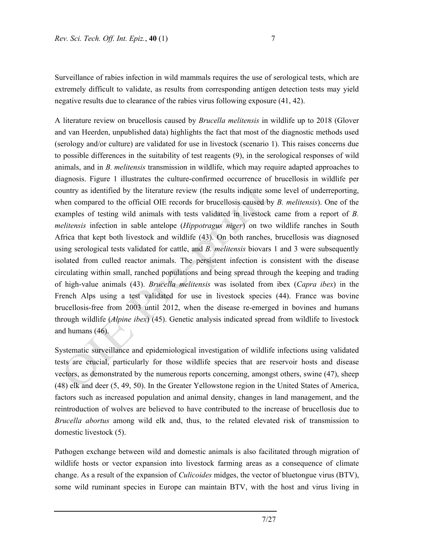Surveillance of rabies infection in wild mammals requires the use of serological tests, which are extremely difficult to validate, as results from corresponding antigen detection tests may yield negative results due to clearance of the rabies virus following exposure (41, 42).

A literature review on brucellosis caused by *Brucella melitensis* in wildlife up to 2018 (Glover and van Heerden, unpublished data) highlights the fact that most of the diagnostic methods used (serology and/or culture) are validated for use in livestock (scenario 1). This raises concerns due to possible differences in the suitability of test reagents (9), in the serological responses of wild animals, and in *B. melitensis* transmission in wildlife, which may require adapted approaches to diagnosis. Figure 1 illustrates the culture-confirmed occurrence of brucellosis in wildlife per country as identified by the literature review (the results indicate some level of underreporting, when compared to the official OIE records for brucellosis caused by *B. melitensis*). One of the examples of testing wild animals with tests validated in livestock came from a report of *B. melitensis* infection in sable antelope (*Hippotragus niger*) on two wildlife ranches in South Africa that kept both livestock and wildlife (43). On both ranches, brucellosis was diagnosed using serological tests validated for cattle, and *B. melitensis* biovars 1 and 3 were subsequently isolated from culled reactor animals. The persistent infection is consistent with the disease circulating within small, ranched populations and being spread through the keeping and trading of high-value animals (43). *Brucella melitensis* was isolated from ibex (*Capra ibex*) in the French Alps using a test validated for use in livestock species (44). France was bovine brucellosis-free from 2003 until 2012, when the disease re-emerged in bovines and humans through wildlife (*Alpine ibex*) (45). Genetic analysis indicated spread from wildlife to livestock and humans (46).

Systematic surveillance and epidemiological investigation of wildlife infections using validated tests are crucial, particularly for those wildlife species that are reservoir hosts and disease vectors, as demonstrated by the numerous reports concerning, amongst others, swine (47), sheep (48) elk and deer (5, 49, 50). In the Greater Yellowstone region in the United States of America, factors such as increased population and animal density, changes in land management, and the reintroduction of wolves are believed to have contributed to the increase of brucellosis due to *Brucella abortus* among wild elk and, thus, to the related elevated risk of transmission to domestic livestock (5).

Pathogen exchange between wild and domestic animals is also facilitated through migration of wildlife hosts or vector expansion into livestock farming areas as a consequence of climate change. As a result of the expansion of *Culicoides* midges, the vector of bluetongue virus (BTV), some wild ruminant species in Europe can maintain BTV, with the host and virus living in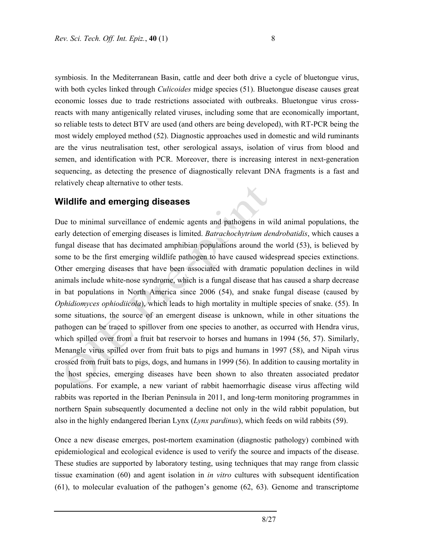symbiosis. In the Mediterranean Basin, cattle and deer both drive a cycle of bluetongue virus, with both cycles linked through *Culicoides* midge species (51). Bluetongue disease causes great economic losses due to trade restrictions associated with outbreaks. Bluetongue virus crossreacts with many antigenically related viruses, including some that are economically important, so reliable tests to detect BTV are used (and others are being developed), with RT-PCR being the most widely employed method (52). Diagnostic approaches used in domestic and wild ruminants are the virus neutralisation test, other serological assays, isolation of virus from blood and semen, and identification with PCR. Moreover, there is increasing interest in next-generation sequencing, as detecting the presence of diagnostically relevant DNA fragments is a fast and relatively cheap alternative to other tests.

### **Wildlife and emerging diseases**

Due to minimal surveillance of endemic agents and pathogens in wild animal populations, the early detection of emerging diseases is limited. *Batrachochytrium dendrobatidis*, which causes a fungal disease that has decimated amphibian populations around the world (53), is believed by some to be the first emerging wildlife pathogen to have caused widespread species extinctions. Other emerging diseases that have been associated with dramatic population declines in wild animals include white-nose syndrome, which is a fungal disease that has caused a sharp decrease in bat populations in North America since 2006 (54), and snake fungal disease (caused by *Ophidiomyces ophiodiicola*), which leads to high mortality in multiple species of snake. (55). In some situations, the source of an emergent disease is unknown, while in other situations the pathogen can be traced to spillover from one species to another, as occurred with Hendra virus, which spilled over from a fruit bat reservoir to horses and humans in 1994 (56, 57). Similarly, Menangle virus spilled over from fruit bats to pigs and humans in 1997 (58), and Nipah virus crossed from fruit bats to pigs, dogs, and humans in 1999 (56). In addition to causing mortality in the host species, emerging diseases have been shown to also threaten associated predator populations. For example, a new variant of rabbit haemorrhagic disease virus affecting wild rabbits was reported in the Iberian Peninsula in 2011, and long-term monitoring programmes in northern Spain subsequently documented a decline not only in the wild rabbit population, but also in the highly endangered Iberian Lynx (*Lynx pardinus*), which feeds on wild rabbits (59).

Once a new disease emerges, post-mortem examination (diagnostic pathology) combined with epidemiological and ecological evidence is used to verify the source and impacts of the disease. These studies are supported by laboratory testing, using techniques that may range from classic tissue examination (60) and agent isolation in *in vitro* cultures with subsequent identification (61), to molecular evaluation of the pathogen's genome (62, 63). Genome and transcriptome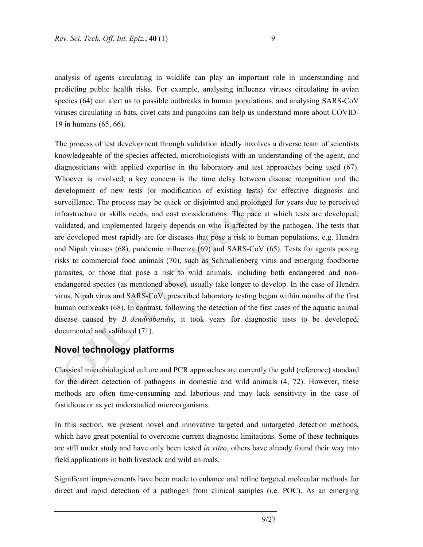analysis of agents circulating in wildlife can play an important role in understanding and predicting public health risks. For example, analysing influenza viruses circulating in avian species (64) can alert us to possible outbreaks in human populations, and analysing SARS-CoV viruses circulating in bats, civet cats and pangolins can help us understand more about COVID-19 in humans (65, 66).

The process of test development through validation ideally involves a diverse team of scientists knowledgeable of the species affected, microbiologists with an understanding of the agent, and diagnosticians with applied expertise in the laboratory and test approaches being used (67). Whoever is involved, a key concern is the time delay between disease recognition and the development of new tests (or modification of existing tests) for effective diagnosis and surveillance. The process may be quick or disjointed and prolonged for years due to perceived infrastructure or skills needs, and cost considerations. The pace at which tests are developed, validated, and implemented largely depends on who is affected by the pathogen. The tests that are developed most rapidly are for diseases that pose a risk to human populations, e.g. Hendra and Nipah viruses (68), pandemic influenza (69) and SARS-CoV (65). Tests for agents posing risks to commercial food animals (70), such as Schmallenberg virus and emerging foodborne parasites, or those that pose a risk to wild animals, including both endangered and nonendangered species (as mentioned above), usually take longer to develop. In the case of Hendra virus, Nipah virus and SARS-CoV, prescribed laboratory testing began within months of the first human outbreaks (68). In contrast, following the detection of the first cases of the aquatic animal disease caused by *B. dendrobatidis*, it took years for diagnostic tests to be developed, documented and validated (71).

# **Novel technology platforms**

Classical microbiological culture and PCR approaches are currently the gold (reference) standard for the direct detection of pathogens in domestic and wild animals (4, 72). However, these methods are often time-consuming and laborious and may lack sensitivity in the case of fastidious or as yet understudied microorganisms.

In this section, we present novel and innovative targeted and untargeted detection methods, which have great potential to overcome current diagnostic limitations. Some of these techniques are still under study and have only been tested *in vitro*, others have already found their way into field applications in both livestock and wild animals.

Significant improvements have been made to enhance and refine targeted molecular methods for direct and rapid detection of a pathogen from clinical samples (i.e. POC). As an emerging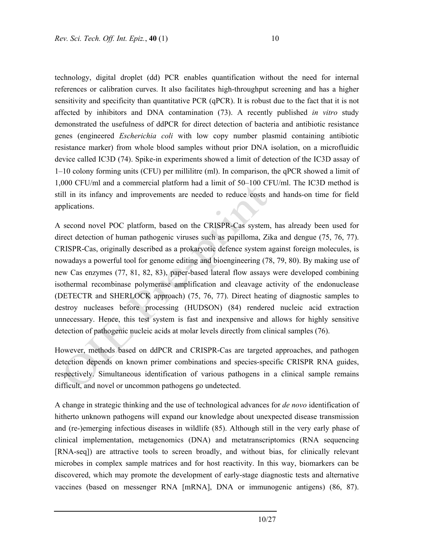technology, digital droplet (dd) PCR enables quantification without the need for internal references or calibration curves. It also facilitates high-throughput screening and has a higher sensitivity and specificity than quantitative PCR (qPCR). It is robust due to the fact that it is not affected by inhibitors and DNA contamination (73). A recently published *in vitro* study demonstrated the usefulness of ddPCR for direct detection of bacteria and antibiotic resistance genes (engineered *Escherichia coli* with low copy number plasmid containing antibiotic resistance marker) from whole blood samples without prior DNA isolation, on a microfluidic device called IC3D (74). Spike-in experiments showed a limit of detection of the IC3D assay of 1–10 colony forming units (CFU) per millilitre (ml). In comparison, the qPCR showed a limit of 1,000 CFU/ml and a commercial platform had a limit of 50–100 CFU/ml. The IC3D method is still in its infancy and improvements are needed to reduce costs and hands-on time for field applications.

A second novel POC platform, based on the CRISPR-Cas system, has already been used for direct detection of human pathogenic viruses such as papilloma, Zika and dengue (75, 76, 77). CRISPR-Cas, originally described as a prokaryotic defence system against foreign molecules, is nowadays a powerful tool for genome editing and bioengineering (78, 79, 80). By making use of new Cas enzymes (77, 81, 82, 83), paper-based lateral flow assays were developed combining isothermal recombinase polymerase amplification and cleavage activity of the endonuclease (DETECTR and SHERLOCK approach) (75, 76, 77). Direct heating of diagnostic samples to destroy nucleases before processing (HUDSON) (84) rendered nucleic acid extraction unnecessary. Hence, this test system is fast and inexpensive and allows for highly sensitive detection of pathogenic nucleic acids at molar levels directly from clinical samples (76).

However, methods based on ddPCR and CRISPR-Cas are targeted approaches, and pathogen detection depends on known primer combinations and species-specific CRISPR RNA guides, respectively. Simultaneous identification of various pathogens in a clinical sample remains difficult, and novel or uncommon pathogens go undetected.

A change in strategic thinking and the use of technological advances for *de novo* identification of hitherto unknown pathogens will expand our knowledge about unexpected disease transmission and (re-)emerging infectious diseases in wildlife (85). Although still in the very early phase of clinical implementation, metagenomics (DNA) and metatranscriptomics (RNA sequencing [RNA-seq]) are attractive tools to screen broadly, and without bias, for clinically relevant microbes in complex sample matrices and for host reactivity. In this way, biomarkers can be discovered, which may promote the development of early-stage diagnostic tests and alternative vaccines (based on messenger RNA [mRNA], DNA or immunogenic antigens) (86, 87).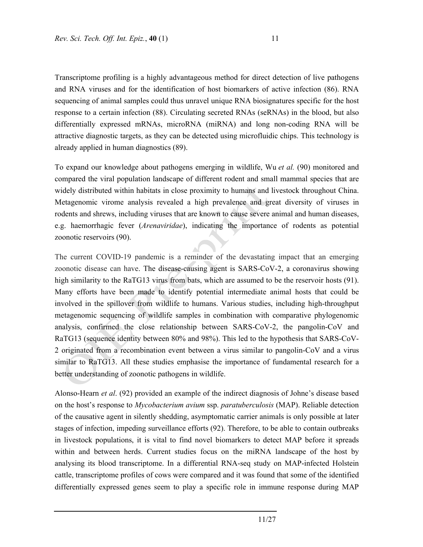Transcriptome profiling is a highly advantageous method for direct detection of live pathogens and RNA viruses and for the identification of host biomarkers of active infection (86). RNA sequencing of animal samples could thus unravel unique RNA biosignatures specific for the host response to a certain infection (88). Circulating secreted RNAs (seRNAs) in the blood, but also differentially expressed mRNAs, microRNA (miRNA) and long non-coding RNA will be attractive diagnostic targets, as they can be detected using microfluidic chips. This technology is already applied in human diagnostics (89).

To expand our knowledge about pathogens emerging in wildlife, Wu *et al.* (90) monitored and compared the viral population landscape of different rodent and small mammal species that are widely distributed within habitats in close proximity to humans and livestock throughout China. Metagenomic virome analysis revealed a high prevalence and great diversity of viruses in rodents and shrews, including viruses that are known to cause severe animal and human diseases, e.g. haemorrhagic fever (*Arenaviridae*), indicating the importance of rodents as potential zoonotic reservoirs (90).

The current COVID-19 pandemic is a reminder of the devastating impact that an emerging zoonotic disease can have. The disease-causing agent is SARS-CoV-2, a coronavirus showing high similarity to the RaTG13 virus from bats, which are assumed to be the reservoir hosts (91). Many efforts have been made to identify potential intermediate animal hosts that could be involved in the spillover from wildlife to humans. Various studies, including high-throughput metagenomic sequencing of wildlife samples in combination with comparative phylogenomic analysis, confirmed the close relationship between SARS-CoV-2, the pangolin-CoV and RaTG13 (sequence identity between 80% and 98%). This led to the hypothesis that SARS-CoV-2 originated from a recombination event between a virus similar to pangolin-CoV and a virus similar to RaTG13. All these studies emphasise the importance of fundamental research for a better understanding of zoonotic pathogens in wildlife.

Alonso-Hearn *et al*. (92) provided an example of the indirect diagnosis of Johne's disease based on the host's response to *Mycobacterium avium* ssp. *paratuberculosis* (MAP). Reliable detection of the causative agent in silently shedding, asymptomatic carrier animals is only possible at later stages of infection, impeding surveillance efforts (92). Therefore, to be able to contain outbreaks in livestock populations, it is vital to find novel biomarkers to detect MAP before it spreads within and between herds. Current studies focus on the miRNA landscape of the host by analysing its blood transcriptome. In a differential RNA-seq study on MAP-infected Holstein cattle, transcriptome profiles of cows were compared and it was found that some of the identified differentially expressed genes seem to play a specific role in immune response during MAP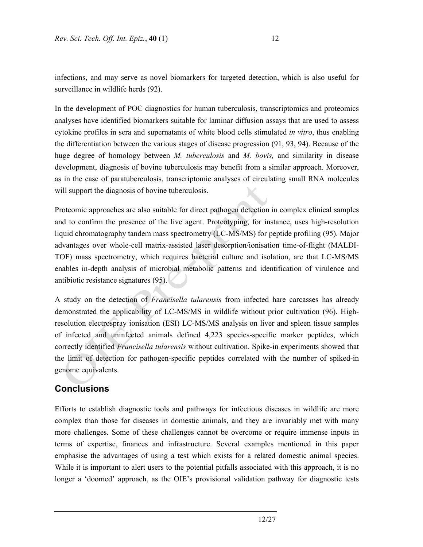infections, and may serve as novel biomarkers for targeted detection, which is also useful for surveillance in wildlife herds (92).

In the development of POC diagnostics for human tuberculosis, transcriptomics and proteomics analyses have identified biomarkers suitable for laminar diffusion assays that are used to assess cytokine profiles in sera and supernatants of white blood cells stimulated *in vitro*, thus enabling the differentiation between the various stages of disease progression (91, 93, 94). Because of the huge degree of homology between *M. tuberculosis* and *M. bovis,* and similarity in disease development, diagnosis of bovine tuberculosis may benefit from a similar approach. Moreover, as in the case of paratuberculosis, transcriptomic analyses of circulating small RNA molecules will support the diagnosis of bovine tuberculosis.

Proteomic approaches are also suitable for direct pathogen detection in complex clinical samples and to confirm the presence of the live agent. Proteotyping, for instance, uses high-resolution liquid chromatography tandem mass spectrometry (LC-MS/MS) for peptide profiling (95). Major advantages over whole-cell matrix-assisted laser desorption/ionisation time-of-flight (MALDI-TOF) mass spectrometry, which requires bacterial culture and isolation, are that LC-MS/MS enables in-depth analysis of microbial metabolic patterns and identification of virulence and antibiotic resistance signatures (95).

A study on the detection of *Francisella tularensis* from infected hare carcasses has already demonstrated the applicability of LC-MS/MS in wildlife without prior cultivation (96). Highresolution electrospray ionisation (ESI) LC-MS/MS analysis on liver and spleen tissue samples of infected and uninfected animals defined 4,223 species-specific marker peptides, which correctly identified *Francisella tularensis* without cultivation. Spike-in experiments showed that the limit of detection for pathogen-specific peptides correlated with the number of spiked-in genome equivalents.

## **Conclusions**

Efforts to establish diagnostic tools and pathways for infectious diseases in wildlife are more complex than those for diseases in domestic animals, and they are invariably met with many more challenges. Some of these challenges cannot be overcome or require immense inputs in terms of expertise, finances and infrastructure. Several examples mentioned in this paper emphasise the advantages of using a test which exists for a related domestic animal species. While it is important to alert users to the potential pitfalls associated with this approach, it is no longer a 'doomed' approach, as the OIE's provisional validation pathway for diagnostic tests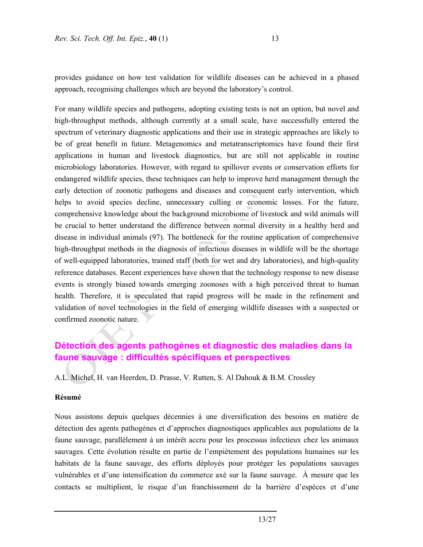provides guidance on how test validation for wildlife diseases can be achieved in a phased approach, recognising challenges which are beyond the laboratory's control.

For many wildlife species and pathogens, adopting existing tests is not an option, but novel and high-throughput methods, although currently at a small scale, have successfully entered the spectrum of veterinary diagnostic applications and their use in strategic approaches are likely to be of great benefit in future. Metagenomics and metatranscriptomics have found their first applications in human and livestock diagnostics, but are still not applicable in routine microbiology laboratories. However, with regard to spillover events or conservation efforts for endangered wildlife species, these techniques can help to improve herd management through the early detection of zoonotic pathogens and diseases and consequent early intervention, which helps to avoid species decline, unnecessary culling or economic losses. For the future, comprehensive knowledge about the background microbiome of livestock and wild animals will be crucial to better understand the difference between normal diversity in a healthy herd and disease in individual animals (97). The bottleneck for the routine application of comprehensive high-throughput methods in the diagnosis of infectious diseases in wildlife will be the shortage of well-equipped laboratories, trained staff (both for wet and dry laboratories), and high-quality reference databases. Recent experiences have shown that the technology response to new disease events is strongly biased towards emerging zoonoses with a high perceived threat to human health. Therefore, it is speculated that rapid progress will be made in the refinement and validation of novel technologies in the field of emerging wildlife diseases with a suspected or confirmed zoonotic nature.

# **Détection des agents pathogènes et diagnostic des maladies dans la faune sauvage : difficultés spécifiques et perspectives**

A.L. Michel, H. van Heerden, D. Prasse, V. Rutten, S. Al Dahouk & B.M. Crossley

### **Résumé**

Nous assistons depuis quelques décennies à une diversification des besoins en matière de détection des agents pathogènes et d'approches diagnostiques applicables aux populations de la faune sauvage, parallèlement à un intérêt accru pour les processus infectieux chez les animaux sauvages. Cette évolution résulte en partie de l'empiètement des populations humaines sur les habitats de la faune sauvage, des efforts déployés pour protéger les populations sauvages vulnérables et d'une intensification du commerce axé sur la faune sauvage. À mesure que les contacts se multiplient, le risque d'un franchissement de la barrière d'espèces et d'une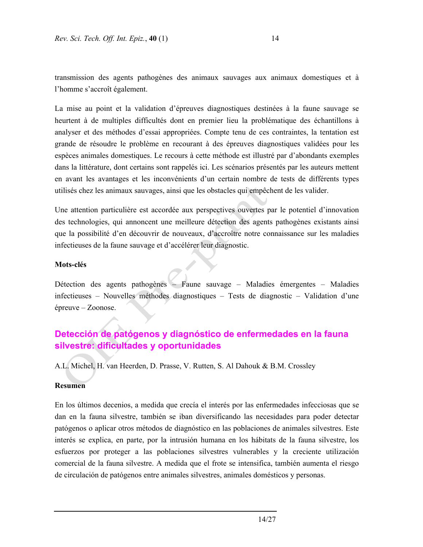transmission des agents pathogènes des animaux sauvages aux animaux domestiques et à l'homme s'accroît également.

La mise au point et la validation d'épreuves diagnostiques destinées à la faune sauvage se heurtent à de multiples difficultés dont en premier lieu la problématique des échantillons à analyser et des méthodes d'essai appropriées. Compte tenu de ces contraintes, la tentation est grande de résoudre le problème en recourant à des épreuves diagnostiques validées pour les espèces animales domestiques. Le recours à cette méthode est illustré par d'abondants exemples dans la littérature, dont certains sont rappelés ici. Les scénarios présentés par les auteurs mettent en avant les avantages et les inconvénients d'un certain nombre de tests de différents types utilisés chez les animaux sauvages, ainsi que les obstacles qui empêchent de les valider.

Une attention particulière est accordée aux perspectives ouvertes par le potentiel d'innovation des technologies, qui annoncent une meilleure détection des agents pathogènes existants ainsi que la possibilité d'en découvrir de nouveaux, d'accroître notre connaissance sur les maladies infectieuses de la faune sauvage et d'accélérer leur diagnostic.

#### **Mots-clés**

Détection des agents pathogènes – Faune sauvage – Maladies émergentes – Maladies infectieuses – Nouvelles méthodes diagnostiques – Tests de diagnostic – Validation d'une épreuve – Zoonose.

# **Detección de patógenos y diagnóstico de enfermedades en la fauna silvestre: dificultades y oportunidades**

A.L. Michel, H. van Heerden, D. Prasse, V. Rutten, S. Al Dahouk & B.M. Crossley

#### **Resumen**

En los últimos decenios, a medida que crecía el interés por las enfermedades infecciosas que se dan en la fauna silvestre, también se iban diversificando las necesidades para poder detectar patógenos o aplicar otros métodos de diagnóstico en las poblaciones de animales silvestres. Este interés se explica, en parte, por la intrusión humana en los hábitats de la fauna silvestre, los esfuerzos por proteger a las poblaciones silvestres vulnerables y la creciente utilización comercial de la fauna silvestre. A medida que el frote se intensifica, también aumenta el riesgo de circulación de patógenos entre animales silvestres, animales domésticos y personas.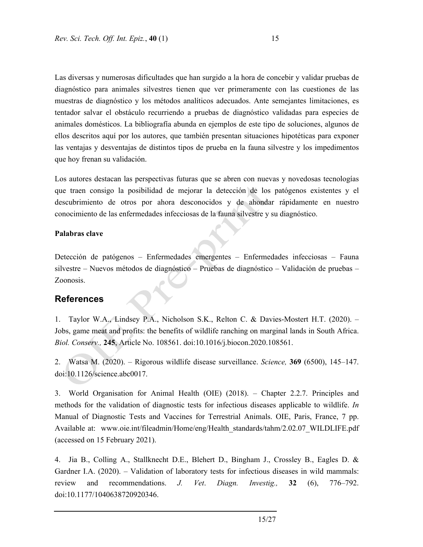Las diversas y numerosas dificultades que han surgido a la hora de concebir y validar pruebas de diagnóstico para animales silvestres tienen que ver primeramente con las cuestiones de las muestras de diagnóstico y los métodos analíticos adecuados. Ante semejantes limitaciones, es tentador salvar el obstáculo recurriendo a pruebas de diagnóstico validadas para especies de animales domésticos. La bibliografía abunda en ejemplos de este tipo de soluciones, algunos de ellos descritos aquí por los autores, que también presentan situaciones hipotéticas para exponer las ventajas y desventajas de distintos tipos de prueba en la fauna silvestre y los impedimentos que hoy frenan su validación.

Los autores destacan las perspectivas futuras que se abren con nuevas y novedosas tecnologías que traen consigo la posibilidad de mejorar la detección de los patógenos existentes y el descubrimiento de otros por ahora desconocidos y de ahondar rápidamente en nuestro conocimiento de las enfermedades infecciosas de la fauna silvestre y su diagnóstico.

### **Palabras clave**

Detección de patógenos – Enfermedades emergentes – Enfermedades infecciosas – Fauna silvestre – Nuevos métodos de diagnóstico – Pruebas de diagnóstico – Validación de pruebas – Zoonosis.

## **References**

1. Taylor W.A., Lindsey P.A., Nicholson S.K., Relton C. & Davies-Mostert H.T. (2020). – Jobs, game meat and profits: the benefits of wildlife ranching on marginal lands in South Africa. *Biol. Conserv.,* **245**, Article No. 108561. doi:10.1016/j.biocon.2020.108561.

2. Watsa M. (2020). – Rigorous wildlife disease surveillance. *Science,* **369** (6500), 145–147. doi:10.1126/science.abc0017.

3. World Organisation for Animal Health (OIE) (2018). – Chapter 2.2.7. Principles and methods for the validation of diagnostic tests for infectious diseases applicable to wildlife. *In* Manual of Diagnostic Tests and Vaccines for Terrestrial Animals. OIE, Paris, France, 7 pp. Available at: www.oie.int/fileadmin/Home/eng/Health\_standards/tahm/2.02.07\_WILDLIFE.pdf (accessed on 15 February 2021).

4. Jia B., Colling A., Stallknecht D.E., Blehert D., Bingham J., Crossley B., Eagles D. & Gardner I.A. (2020). – Validation of laboratory tests for infectious diseases in wild mammals: review and recommendations. *J. Vet*. *Diagn. Investig.,* **32** (6), 776–792. doi:10.1177/1040638720920346.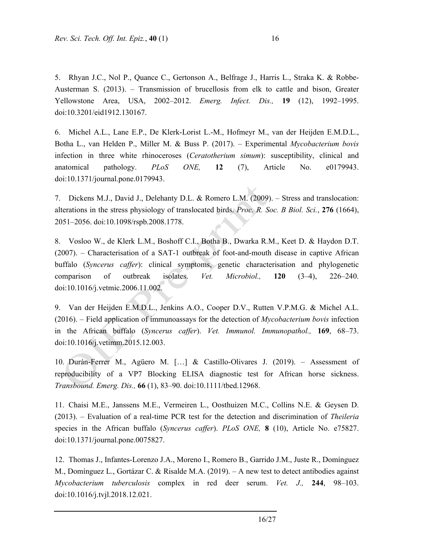5. Rhyan J.C., Nol P., Quance C., Gertonson A., Belfrage J., Harris L., Straka K. & Robbe-Austerman S. (2013). – Transmission of brucellosis from elk to cattle and bison, Greater Yellowstone Area, USA, 2002–2012. *Emerg. Infect. Dis.,* **19** (12), 1992–1995. doi:10.3201/eid1912.130167.

6. Michel A.L., Lane E.P., De Klerk-Lorist L.-M., Hofmeyr M., van der Heijden E.M.D.L., Botha L., van Helden P., Miller M. & Buss P. (2017). – Experimental *Mycobacterium bovis* infection in three white rhinoceroses (*Ceratotherium simum*): susceptibility, clinical and anatomical pathology. *PLoS ONE,* **12** (7), Article No. e0179943. doi:10.1371/journal.pone.0179943.

7. Dickens M.J., David J., Delehanty D.L. & Romero L.M. (2009). – Stress and translocation: alterations in the stress physiology of translocated birds. *Proc. R. Soc. B Biol. Sci.*, **276** (1664), 2051–2056. doi:10.1098/rspb.2008.1778.

8. Vosloo W., de Klerk L.M., Boshoff C.I., Botha B., Dwarka R.M., Keet D. & Haydon D.T. (2007). – Characterisation of a SAT-1 outbreak of foot-and-mouth disease in captive African buffalo (*Syncerus caffer*): clinical symptoms, genetic characterisation and phylogenetic comparison of outbreak isolates. *Vet. Microbiol.,* **120** (3–4), 226–240. doi:10.1016/j.vetmic.2006.11.002.

9. Van der Heijden E.M.D.L., Jenkins A.O., Cooper D.V., Rutten V.P.M.G. & Michel A.L. (2016). – Field application of immunoassays for the detection of *Mycobacterium bovis* infection in the African buffalo (*Syncerus caffer*). *Vet. Immunol. Immunopathol.,* **169**, 68–73. doi:10.1016/j.vetimm.2015.12.003.

10. Durán-Ferrer M., Agüero M. […] & Castillo-Olivares J. (2019). – Assessment of reproducibility of a VP7 Blocking ELISA diagnostic test for African horse sickness. *Transbound. Emerg. Dis.,* **66** (1), 83–90. doi:10.1111/tbed.12968.

11. Chaisi M.E., Janssens M.E., Vermeiren L., Oosthuizen M.C., Collins N.E. & Geysen D. (2013). – Evaluation of a real-time PCR test for the detection and discrimination of *Theileria* species in the African buffalo (*Syncerus caffer*). *PLoS ONE,* **8** (10), Article No. e75827. doi:10.1371/journal.pone.0075827.

12. Thomas J., Infantes-Lorenzo J.A., Moreno I., Romero B., Garrido J.M., Juste R., Domínguez M., Domínguez L., Gortázar C. & Risalde M.A. (2019). – A new test to detect antibodies against *Mycobacterium tuberculosis* complex in red deer serum. *Vet. J.,* **244**, 98–103. doi:10.1016/j.tvjl.2018.12.021.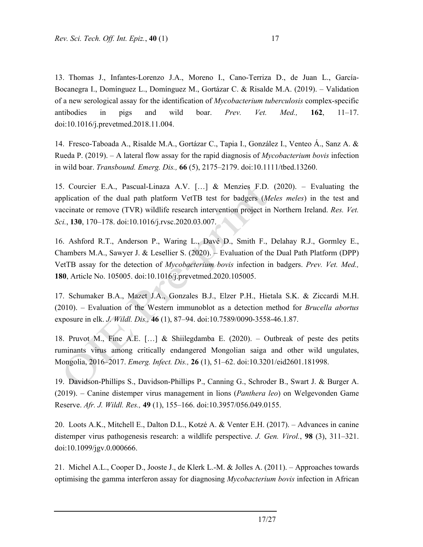13. Thomas J., Infantes-Lorenzo J.A., Moreno I., Cano-Terriza D., de Juan L., García-Bocanegra I., Domínguez L., Domínguez M., Gortázar C. & Risalde M.A. (2019). – Validation of a new serological assay for the identification of *Mycobacterium tuberculosis* complex-specific antibodies in pigs and wild boar. *Prev. Vet. Med.,* **162**, 11–17. doi:10.1016/j.prevetmed.2018.11.004.

14. Fresco-Taboada A., Risalde M.A., Gortázar C., Tapia I., González I., Venteo Á., Sanz A. & Rueda P. (2019). – A lateral flow assay for the rapid diagnosis of *Mycobacterium bovis* infection in wild boar. *Transbound. Emerg. Dis.,* **66** (5), 2175–2179. doi:10.1111/tbed.13260.

15. Courcier E.A., Pascual-Linaza A.V. […] & Menzies F.D. (2020). – Evaluating the application of the dual path platform VetTB test for badgers (*Meles meles*) in the test and vaccinate or remove (TVR) wildlife research intervention project in Northern Ireland. *Res. Vet. Sci.*, **130**, 170–178. doi:10.1016/j.rvsc.2020.03.007.

16. Ashford R.T., Anderson P., Waring L., Davé D., Smith F., Delahay R.J., Gormley E., Chambers M.A., Sawyer J. & Lesellier S. (2020). – Evaluation of the Dual Path Platform (DPP) VetTB assay for the detection of *Mycobacterium bovis* infection in badgers. *Prev. Vet. Med.,*  **180**, Article No. 105005. doi:10.1016/j.prevetmed.2020.105005.

17. Schumaker B.A., Mazet J.A., Gonzales B.J., Elzer P.H., Hietala S.K. & Ziccardi M.H. (2010). – Evaluation of the Western immunoblot as a detection method for *Brucella abortus* exposure in elk. *J. Wildl. Dis.,* **46** (1), 87–94. doi:10.7589/0090-3558-46.1.87.

18. Pruvot M., Fine A.E. […] & Shiilegdamba E. (2020). – Outbreak of peste des petits ruminants virus among critically endangered Mongolian saiga and other wild ungulates, Mongolia, 2016–2017. *Emerg. Infect. Dis.,* **26** (1), 51–62. doi:10.3201/eid2601.181998.

19. Davidson-Phillips S., Davidson-Phillips P., Canning G., Schroder B., Swart J. & Burger A. (2019). – Canine distemper virus management in lions (*Panthera leo*) on Welgevonden Game Reserve. *Afr. J. Wildl. Res.,* **49** (1), 155–166. doi:10.3957/056.049.0155.

20. Loots A.K., Mitchell E., Dalton D.L., Kotzé A. & Venter E.H. (2017). – Advances in canine distemper virus pathogenesis research: a wildlife perspective. *J. Gen. Virol.*, **98** (3), 311–321. doi:10.1099/jgv.0.000666.

21. Michel A.L., Cooper D., Jooste J., de Klerk L.-M. & Jolles A. (2011). – Approaches towards optimising the gamma interferon assay for diagnosing *Mycobacterium bovis* infection in African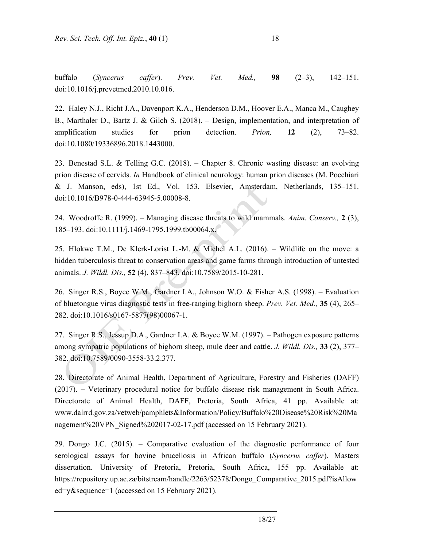buffalo (*Syncerus caffer*). *Prev. Vet. Med.,* **98** (2–3), 142–151. doi:10.1016/j.prevetmed.2010.10.016.

22. Haley N.J., Richt J.A., Davenport K.A., Henderson D.M., Hoover E.A., Manca M., Caughey B., Marthaler D., Bartz J. & Gilch S. (2018). – Design, implementation, and interpretation of amplification studies for prion detection. *Prion,* **12** (2), 73–82. doi:10.1080/19336896.2018.1443000.

23. Benestad S.L. & Telling G.C. (2018). – Chapter 8. Chronic wasting disease: an evolving prion disease of cervids. *In* Handbook of clinical neurology: human prion diseases (M. Pocchiari & J. Manson, eds), 1st Ed., Vol. 153. Elsevier, Amsterdam, Netherlands, 135–151. doi:10.1016/B978-0-444-63945-5.00008-8.

24. Woodroffe R. (1999). – Managing disease threats to wild mammals. *Anim. Conserv.,* **2** (3), 185–193. doi:10.1111/j.1469-1795.1999.tb00064.x.

25. Hlokwe T.M., De Klerk-Lorist L.-M. & Michel A.L. (2016). – Wildlife on the move: a hidden tuberculosis threat to conservation areas and game farms through introduction of untested animals. *J. Wildl. Dis.,* **52** (4), 837–843. doi:10.7589/2015-10-281.

26. Singer R.S., Boyce W.M., Gardner I.A., Johnson W.O. & Fisher A.S. (1998). – Evaluation of bluetongue virus diagnostic tests in free-ranging bighorn sheep. *Prev. Vet. Med.,* **35** (4), 265– 282. doi:10.1016/s0167-5877(98)00067-1.

27. Singer R.S., Jessup D.A., Gardner I.A. & Boyce W.M. (1997). – Pathogen exposure patterns among sympatric populations of bighorn sheep, mule deer and cattle. *J. Wildl. Dis.,* **33** (2), 377– 382. doi:10.7589/0090-3558-33.2.377.

28. Directorate of Animal Health, Department of Agriculture, Forestry and Fisheries (DAFF) (2017). – Veterinary procedural notice for buffalo disease risk management in South Africa. Directorate of Animal Health, DAFF, Pretoria, South Africa, 41 pp. Available at: www.dalrrd.gov.za/vetweb/pamphlets&Information/Policy/Buffalo%20Disease%20Risk%20Ma nagement%20VPN\_Signed%202017-02-17.pdf (accessed on 15 February 2021).

29. Dongo J.C. (2015). – Comparative evaluation of the diagnostic performance of four serological assays for bovine brucellosis in African buffalo (*Syncerus caffer*). Masters dissertation. University of Pretoria, Pretoria, South Africa, 155 pp. Available at: https://repository.up.ac.za/bitstream/handle/2263/52378/Dongo\_Comparative\_2015.pdf?isAllow ed=y&sequence=1 (accessed on 15 February 2021).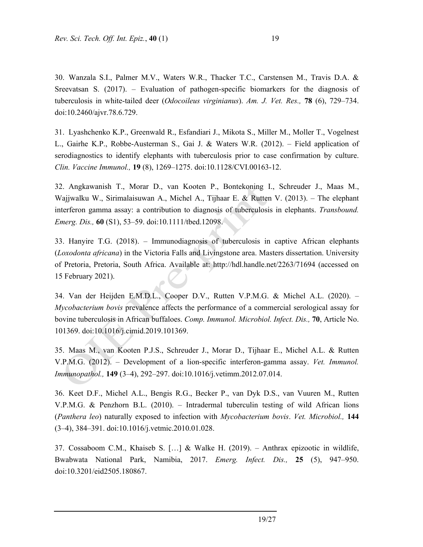30. Wanzala S.I., Palmer M.V., Waters W.R., Thacker T.C., Carstensen M., Travis D.A. & Sreevatsan S. (2017). – Evaluation of pathogen-specific biomarkers for the diagnosis of tuberculosis in white-tailed deer (*Odocoileus virginianus*). *Am. J. Vet. Res.,* **78** (6), 729–734. doi:10.2460/ajvr.78.6.729.

31. Lyashchenko K.P., Greenwald R., Esfandiari J., Mikota S., Miller M., Moller T., Vogelnest L., Gairhe K.P., Robbe-Austerman S., Gai J. & Waters W.R. (2012). – Field application of serodiagnostics to identify elephants with tuberculosis prior to case confirmation by culture. *Clin. Vaccine Immunol.,* **19** (8), 1269–1275. doi:10.1128/CVI.00163-12.

32. Angkawanish T., Morar D., van Kooten P., Bontekoning I., Schreuder J., Maas M., Wajjwalku W., Sirimalaisuwan A., Michel A., Tijhaar E. & Rutten V. (2013). – The elephant interferon gamma assay: a contribution to diagnosis of tuberculosis in elephants. *Transbound. Emerg. Dis.,* **60** (S1), 53–59. doi:10.1111/tbed.12098.

33. Hanyire T.G. (2018). – Immunodiagnosis of tuberculosis in captive African elephants (*Loxodonta africana*) in the Victoria Falls and Livingstone area. Masters dissertation. University of Pretoria, Pretoria, South Africa. Available at: http://hdl.handle.net/2263/71694 (accessed on 15 February 2021).

34. Van der Heijden E.M.D.L., Cooper D.V., Rutten V.P.M.G. & Michel A.L. (2020). – *Mycobacterium bovis* prevalence affects the performance of a commercial serological assay for bovine tuberculosis in African buffaloes. *Comp. Immunol. Microbiol. Infect. Dis.,* **70**, Article No. 101369. doi:10.1016/j.cimid.2019.101369.

35. Maas M., van Kooten P.J.S., Schreuder J., Morar D., Tijhaar E., Michel A.L. & Rutten V.P.M.G. (2012). – Development of a lion-specific interferon-gamma assay. *Vet. Immunol. Immunopathol.,* **149** (3–4), 292–297. doi:10.1016/j.vetimm.2012.07.014.

36. Keet D.F., Michel A.L., Bengis R.G., Becker P., van Dyk D.S., van Vuuren M., Rutten V.P.M.G. & Penzhorn B.L. (2010). – Intradermal tuberculin testing of wild African lions (*Panthera leo*) naturally exposed to infection with *Mycobacterium bovis*. *Vet. Microbiol.,* **144** (3–4), 384–391. doi:10.1016/j.vetmic.2010.01.028.

37. Cossaboom C.M., Khaiseb S. […] & Walke H. (2019). – Anthrax epizootic in wildlife, Bwabwata National Park, Namibia, 2017. *Emerg. Infect. Dis.,* **25** (5), 947–950. doi:10.3201/eid2505.180867.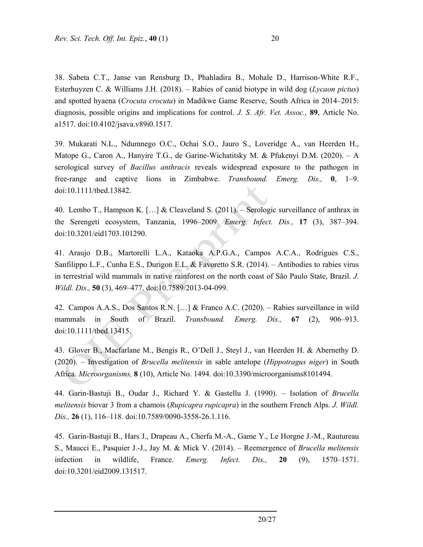a1517. doi:10.4102/jsava.v89i0.1517.

38. Sabeta C.T., Janse van Rensburg D., Phahladira B., Mohale D., Harrison-White R.F., Esterhuyzen C. & Williams J.H. (2018). – Rabies of canid biotype in wild dog (*Lycaon pictus*) and spotted hyaena (*Crocuta crocuta*) in Madikwe Game Reserve, South Africa in 2014–2015: diagnosis, possible origins and implications for control. *J. S. Afr. Vet. Assoc.,* **89**, Article No.

39. Mukarati N.L., Ndumnego O.C., Ochai S.O., Jauro S., Loveridge A., van Heerden H., Matope G., Caron A., Hanyire T.G., de Garine‐Wichatitsky M. & Pfukenyi D.M. (2020). – A serological survey of *Bacillus anthracis* reveals widespread exposure to the pathogen in free‐range and captive lions in Zimbabwe. *Transbound. Emerg. Dis.,* **0**, 1–9. doi:10.1111/tbed.13842.

40. Lembo T., Hampson K. […] & Cleaveland S. (2011). – Serologic surveillance of anthrax in the Serengeti ecosystem, Tanzania, 1996–2009. *Emerg. Infect. Dis.,* **17** (3), 387–394. doi:10.3201/eid1703.101290.

41. Araujo D.B., Martorelli L.A., Kataoka A.P.G.A., Campos A.C.A., Rodrigues C.S., Sanfilippo L.F., Cunha E.S., Durigon E.L. & Favoretto S.R. (2014). – Antibodies to rabies virus in terrestrial wild mammals in native rainforest on the north coast of São Paulo State, Brazil. *J. Wildl. Dis.,* **50** (3), 469–477. doi:10.7589/2013-04-099.

42. Campos A.A.S., Dos Santos R.N. […] & Franco A.C. (2020). – Rabies surveillance in wild mammals in South of Brazil. *Transbound. Emerg. Dis.,* **67** (2), 906–913. doi:10.1111/tbed.13415.

43. Glover B., Macfarlane M., Bengis R., O'Dell J., Steyl J., van Heerden H. & Abernethy D. (2020). – Investigation of *Brucella melitensis* in sable antelope (*Hippotragus niger*) in South Africa. *Microorganisms,* **8** (10), Article No. 1494. doi:10.3390/microorganisms8101494.

44. Garin-Bastuji B., Oudar J., Richard Y. & Gastellu J. (1990). – Isolation of *Brucella melitensis* biovar 3 from a chamois (*Rupicapra rupicapra*) in the southern French Alps. *J. Wildl. Dis.,* **26** (1), 116–118. doi:10.7589/0090-3558-26.1.116.

45. Garin-Bastuji B., Hars J., Drapeau A., Cherfa M.-A., Game Y., Le Horgne J.-M., Rautureau S., Maucci E., Pasquier J.-J., Jay M. & Mick V. (2014). – Reemergence of *Brucella melitensis* infection in wildlife, France. *Emerg. Infect. Dis.,* **20** (9), 1570–1571. doi:10.3201/eid2009.131517.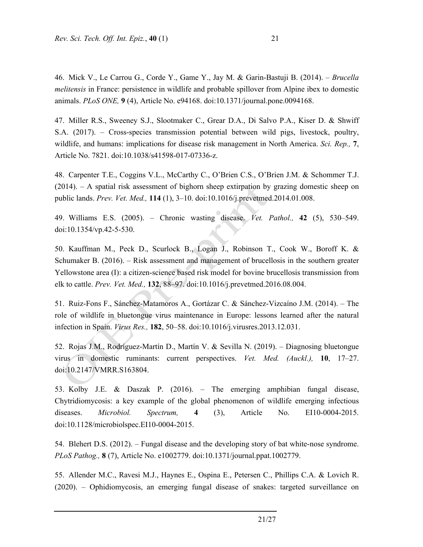46. Mick V., Le Carrou G., Corde Y., Game Y., Jay M. & Garin-Bastuji B. (2014). – *Brucella melitensis* in France: persistence in wildlife and probable spillover from Alpine ibex to domestic animals. *PLoS ONE,* **9** (4), Article No. e94168. doi:10.1371/journal.pone.0094168.

47. Miller R.S., Sweeney S.J., Slootmaker C., Grear D.A., Di Salvo P.A., Kiser D. & Shwiff S.A. (2017). – Cross-species transmission potential between wild pigs, livestock, poultry, wildlife, and humans: implications for disease risk management in North America. *Sci. Rep.,* **7**, Article No. 7821. doi:10.1038/s41598-017-07336-z.

48. Carpenter T.E., Coggins V.L., McCarthy C., O'Brien C.S., O'Brien J.M. & Schommer T.J.  $(2014)$ . – A spatial risk assessment of bighorn sheep extirpation by grazing domestic sheep on public lands. *Prev. Vet. Med.,* **114** (1), 3–10. doi:10.1016/j.prevetmed.2014.01.008.

49. Williams E.S. (2005). – Chronic wasting disease. *Vet. Pathol.,* **42** (5), 530–549. doi:10.1354/vp.42-5-530.

50. Kauffman M., Peck D., Scurlock B., Logan J., Robinson T., Cook W., Boroff K. & Schumaker B. (2016). – Risk assessment and management of brucellosis in the southern greater Yellowstone area (I): a citizen-science based risk model for bovine brucellosis transmission from elk to cattle. *Prev. Vet. Med.,* **132**, 88–97. doi:10.1016/j.prevetmed.2016.08.004.

51. Ruiz-Fons F., Sánchez-Matamoros A., Gortázar C. & Sánchez-Vizcaíno J.M. (2014). – The role of wildlife in bluetongue virus maintenance in Europe: lessons learned after the natural infection in Spain. *Virus Res.,* **182**, 50–58. doi:10.1016/j.virusres.2013.12.031.

52. Rojas J.M., Rodríguez-Martín D., Martín V. & Sevilla N. (2019). – Diagnosing bluetongue virus in domestic ruminants: current perspectives. *Vet. Med. (Auckl.),* **10**, 17–27. doi:10.2147/VMRR.S163804.

53. Kolby J.E. & Daszak P. (2016). – The emerging amphibian fungal disease, Chytridiomycosis: a key example of the global phenomenon of wildlife emerging infectious diseases. *Microbiol. Spectrum,* **4** (3), Article No. EI10-0004-2015. doi:10.1128/microbiolspec.EI10-0004-2015.

54. Blehert D.S. (2012). – Fungal disease and the developing story of bat white-nose syndrome. *PLoS Pathog.,* **8** (7), Article No. e1002779. doi:10.1371/journal.ppat.1002779.

55. Allender M.C., Ravesi M.J., Haynes E., Ospina E., Petersen C., Phillips C.A. & Lovich R. (2020). – Ophidiomycosis, an emerging fungal disease of snakes: targeted surveillance on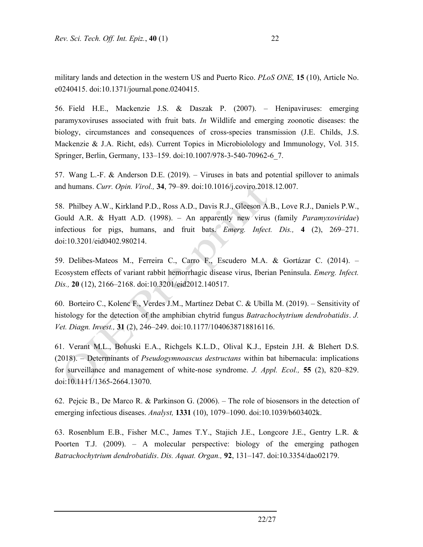military lands and detection in the western US and Puerto Rico. *PLoS ONE,* **15** (10), Article No. e0240415. doi:10.1371/journal.pone.0240415.

56. Field H.E., Mackenzie J.S. & Daszak P. (2007). – Henipaviruses: emerging paramyxoviruses associated with fruit bats. *In* Wildlife and emerging zoonotic diseases: the biology, circumstances and consequences of cross-species transmission (J.E. Childs, J.S. Mackenzie & J.A. Richt, eds). Current Topics in Microbiolology and Immunology, Vol. 315. Springer, Berlin, Germany, 133–159. doi:10.1007/978-3-540-70962-6\_7.

57. Wang L.-F. & Anderson D.E. (2019). – Viruses in bats and potential spillover to animals and humans. *Curr. Opin. Virol.,* **34**, 79–89. doi:10.1016/j.coviro.2018.12.007.

58. Philbey A.W., Kirkland P.D., Ross A.D., Davis R.J., Gleeson A.B., Love R.J., Daniels P.W., Gould A.R. & Hyatt A.D. (1998). – An apparently new virus (family *Paramyxoviridae*) infectious for pigs, humans, and fruit bats. *Emerg. Infect. Dis.,* **4** (2), 269–271. doi:10.3201/eid0402.980214.

59. Delibes-Mateos M., Ferreira C., Carro F., Escudero M.A. & Gortázar C. (2014). – Ecosystem effects of variant rabbit hemorrhagic disease virus, Iberian Peninsula. *Emerg. Infect. Dis.,* **20** (12), 2166–2168. doi:10.3201/eid2012.140517.

60. Borteiro C., Kolenc F., Verdes J.M., Martínez Debat C. & Ubilla M. (2019). – Sensitivity of histology for the detection of the amphibian chytrid fungus *Batrachochytrium dendrobatidis*. *J. Vet. Diagn. Invest.,* **31** (2), 246–249. doi:10.1177/1040638718816116.

61. Verant M.L., Bohuski E.A., Richgels K.L.D., Olival K.J., Epstein J.H. & Blehert D.S. (2018). – Determinants of *Pseudogymnoascus destructans* within bat hibernacula: implications for surveillance and management of white-nose syndrome. *J. Appl. Ecol.,* **55** (2), 820–829. doi:10.1111/1365-2664.13070.

62. Pejcic B., De Marco R. & Parkinson G. (2006). – The role of biosensors in the detection of emerging infectious diseases. *Analyst,* **1331** (10), 1079–1090. doi:10.1039/b603402k.

63. Rosenblum E.B., Fisher M.C., James T.Y., Stajich J.E., Longcore J.E., Gentry L.R. & Poorten T.J. (2009). – A molecular perspective: biology of the emerging pathogen *Batrachochytrium dendrobatidis*. *Dis. Aquat. Organ.,* **92**, 131–147. doi:10.3354/dao02179.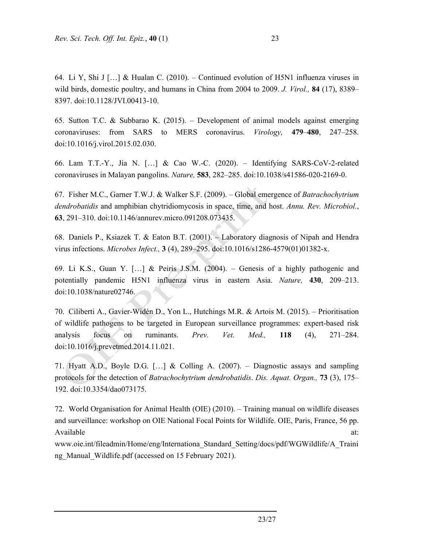64. Li Y, Shi J […] & Hualan C. (2010). – Continued evolution of H5N1 influenza viruses in wild birds, domestic poultry, and humans in China from 2004 to 2009. *J. Virol.,* **84** (17), 8389– 8397. doi:10.1128/JVI.00413-10.

65. Sutton T.C. & Subbarao K. (2015). – Development of animal models against emerging coronaviruses: from SARS to MERS coronavirus. *Virology,* **479**–**480**, 247–258. doi:10.1016/j.virol.2015.02.030.

66. Lam T.T.-Y., Jia N. […] & Cao W.-C. (2020). – Identifying SARS-CoV-2-related coronaviruses in Malayan pangolins. *Nature,* **583**, 282–285. doi:10.1038/s41586-020-2169-0.

67. Fisher M.C., Garner T.W.J. & Walker S.F. (2009). – Global emergence of *Batrachochytrium dendrobatidis* and amphibian chytridiomycosis in space, time, and host. *Annu. Rev. Microbiol.*, **63**, 291–310. doi:10.1146/annurev.micro.091208.073435.

68. Daniels P., Ksiazek T. & Eaton B.T. (2001). – Laboratory diagnosis of Nipah and Hendra virus infections. *Microbes Infect.,* **3** (4), 289–295. doi:10.1016/s1286-4579(01)01382-x.

69. Li K.S., Guan Y. [...] & Peiris J.S.M.  $(2004)$ . – Genesis of a highly pathogenic and potentially pandemic H5N1 influenza virus in eastern Asia. *Nature,* **430**, 209–213. doi:10.1038/nature02746.

70. Ciliberti A., Gavier-Widén D., Yon L., Hutchings M.R. & Artois M. (2015). – Prioritisation of wildlife pathogens to be targeted in European surveillance programmes: expert-based risk analysis focus on ruminants. *Prev. Vet. Med.,* **118** (4), 271–284. doi:10.1016/j.prevetmed.2014.11.021.

71. Hyatt A.D., Boyle D.G. […] & Colling A. (2007). – Diagnostic assays and sampling protocols for the detection of *Batrachochytrium dendrobatidis*. *Dis. Aquat. Organ.,* **73** (3), 175– 192. doi:10.3354/dao073175.

72. World Organisation for Animal Health (OIE) (2010). – Training manual on wildlife diseases and surveillance: workshop on OIE National Focal Points for Wildlife. OIE, Paris, France, 56 pp. Available at:  $\overline{a}$  at:

www.oie.int/fileadmin/Home/eng/Internationa\_Standard\_Setting/docs/pdf/WGWildlife/A\_Traini ng Manual Wildlife.pdf (accessed on 15 February 2021).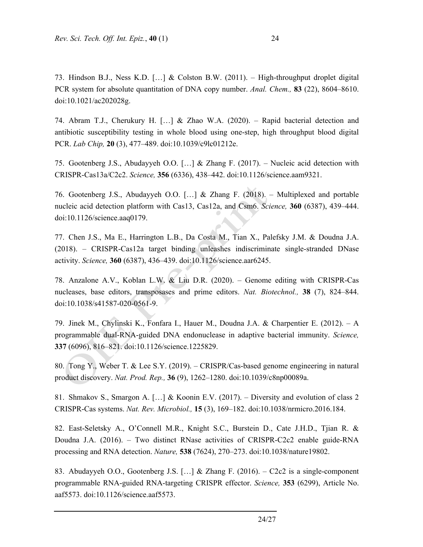73. Hindson B.J., Ness K.D. […] & Colston B.W. (2011). – High-throughput droplet digital PCR system for absolute quantitation of DNA copy number. *Anal. Chem.,* **83** (22), 8604–8610. doi:10.1021/ac202028g.

74. Abram T.J., Cherukury H. […] & Zhao W.A. (2020). – Rapid bacterial detection and antibiotic susceptibility testing in whole blood using one-step, high throughput blood digital PCR. *Lab Chip,* **20** (3), 477–489. doi:10.1039/c9lc01212e.

75. Gootenberg J.S., Abudayyeh O.O. […] & Zhang F. (2017). – Nucleic acid detection with CRISPR-Cas13a/C2c2. *Science,* **356** (6336), 438–442. doi:10.1126/science.aam9321.

76. Gootenberg J.S., Abudayyeh O.O. […] & Zhang F. (2018). – Multiplexed and portable nucleic acid detection platform with Cas13, Cas12a, and Csm6. *Science,* **360** (6387), 439–444. doi:10.1126/science.aaq0179.

77. Chen J.S., Ma E., Harrington L.B., Da Costa M., Tian X., Palefsky J.M. & Doudna J.A. (2018). – CRISPR-Cas12a target binding unleashes indiscriminate single-stranded DNase activity. *Science,* **360** (6387), 436–439. doi:10.1126/science.aar6245.

78. Anzalone A.V., Koblan L.W. & Liu D.R. (2020). – Genome editing with CRISPR-Cas nucleases, base editors, transposases and prime editors. *Nat. Biotechnol.,* **38** (7), 824–844. doi:10.1038/s41587-020-0561-9.

79. Jinek M., Chylinski K., Fonfara I., Hauer M., Doudna J.A. & Charpentier E. (2012). – A programmable dual-RNA-guided DNA endonuclease in adaptive bacterial immunity. *Science,*  **337** (6096), 816–821. doi:10.1126/science.1225829.

80. Tong Y., Weber T. & Lee S.Y. (2019). – CRISPR/Cas-based genome engineering in natural product discovery. *Nat. Prod. Rep.,* **36** (9), 1262–1280. doi:10.1039/c8np00089a.

81. Shmakov S., Smargon A. […] & Koonin E.V. (2017). – Diversity and evolution of class 2 CRISPR-Cas systems. *Nat. Rev. Microbiol.,* **15** (3), 169–182. doi:10.1038/nrmicro.2016.184.

82. East-Seletsky A., O'Connell M.R., Knight S.C., Burstein D., Cate J.H.D., Tjian R. & Doudna J.A. (2016). – Two distinct RNase activities of CRISPR-C2c2 enable guide-RNA processing and RNA detection. *Nature,* **538** (7624), 270–273. doi:10.1038/nature19802.

83. Abudayyeh O.O., Gootenberg J.S. […] & Zhang F. (2016). – C2c2 is a single-component programmable RNA-guided RNA-targeting CRISPR effector. *Science,* **353** (6299), Article No. aaf5573. doi:10.1126/science.aaf5573.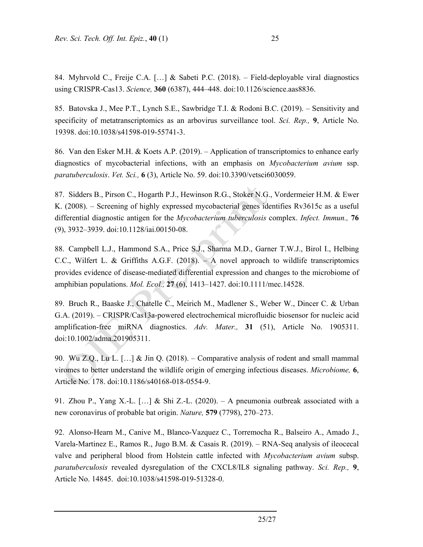84. Myhrvold C., Freije C.A. […] & Sabeti P.C. (2018). – Field-deployable viral diagnostics using CRISPR-Cas13. *Science,* **360** (6387), 444–448. doi:10.1126/science.aas8836.

85. Batovska J., Mee P.T., Lynch S.E., Sawbridge T.I. & Rodoni B.C. (2019). – Sensitivity and specificity of metatranscriptomics as an arbovirus surveillance tool. *Sci. Rep.,* **9**, Article No. 19398. doi:10.1038/s41598-019-55741-3.

86. Van den Esker M.H. & Koets A.P. (2019). – Application of transcriptomics to enhance early diagnostics of mycobacterial infections, with an emphasis on *Mycobacterium avium* ssp. *paratuberculosis*. *Vet. Sci.,* **6** (3), Article No. 59. doi:10.3390/vetsci6030059.

87. Sidders B., Pirson C., Hogarth P.J., Hewinson R.G., Stoker N.G., Vordermeier H.M. & Ewer K. (2008). – Screening of highly expressed mycobacterial genes identifies Rv3615c as a useful differential diagnostic antigen for the *Mycobacterium tuberculosis* complex. *Infect. Immun.,* **76** (9), 3932–3939. doi:10.1128/iai.00150-08.

88. Campbell L.J., Hammond S.A., Price S.J., Sharma M.D., Garner T.W.J., Birol I., Helbing C.C., Wilfert L. & Griffiths A.G.F. (2018). – A novel approach to wildlife transcriptomics provides evidence of disease-mediated differential expression and changes to the microbiome of amphibian populations. *Mol. Ecol.,* **27** (6), 1413–1427. doi:10.1111/mec.14528.

89. Bruch R., Baaske J., Chatelle C., Meirich M., Madlener S., Weber W., Dincer C. & Urban G.A. (2019). – CRISPR/Cas13a-powered electrochemical microfluidic biosensor for nucleic acid amplification-free miRNA diagnostics. *Adv. Mater.,* **31** (51), Article No. 1905311. doi:10.1002/adma.201905311.

90. Wu Z.Q., Lu L. […] & Jin Q. (2018). – Comparative analysis of rodent and small mammal viromes to better understand the wildlife origin of emerging infectious diseases. *Microbiome,* **6**, Article No. 178. doi:10.1186/s40168-018-0554-9.

91. Zhou P., Yang X.-L.  $[\ldots]$  & Shi Z.-L. (2020). – A pneumonia outbreak associated with a new coronavirus of probable bat origin. *Nature,* **579** (7798), 270–273.

92. Alonso-Hearn M., Canive M., Blanco-Vazquez C., Torremocha R., Balseiro A., Amado J., Varela-Martinez E., Ramos R., Jugo B.M. & Casais R. (2019). – RNA-Seq analysis of ileocecal valve and peripheral blood from Holstein cattle infected with *Mycobacterium avium* subsp. *paratuberculosis* revealed dysregulation of the CXCL8/IL8 signaling pathway. *Sci. Rep.,* **9**, Article No. 14845. doi:10.1038/s41598-019-51328-0.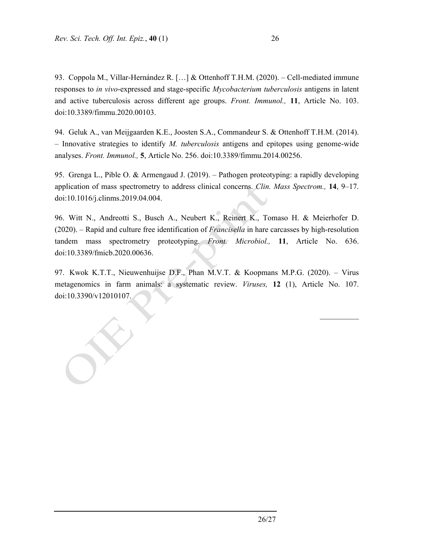93. Coppola M., Villar-Hernández R. […] & Ottenhoff T.H.M. (2020). – Cell-mediated immune responses to *in vivo*-expressed and stage-specific *Mycobacterium tuberculosis* antigens in latent and active tuberculosis across different age groups. *Front. Immunol.,* **11**, Article No. 103. doi:10.3389/fimmu.2020.00103.

94. Geluk A., van Meijgaarden K.E., Joosten S.A., Commandeur S. & Ottenhoff T.H.M. (2014). – Innovative strategies to identify *M. tuberculosis* antigens and epitopes using genome-wide analyses. *Front. Immunol.,* **5**, Article No. 256. doi:10.3389/fimmu.2014.00256.

95. Grenga L., Pible O. & Armengaud J. (2019). – Pathogen proteotyping: a rapidly developing application of mass spectrometry to address clinical concerns. *Clin. Mass Spectrom.,* **14**, 9–17. doi:10.1016/j.clinms.2019.04.004.

96. Witt N., Andreotti S., Busch A., Neubert K., Reinert K., Tomaso H. & Meierhofer D. (2020). – Rapid and culture free identification of *Francisella* in hare carcasses by high-resolution tandem mass spectrometry proteotyping. *Front. Microbiol.,* **11**, Article No. 636. doi:10.3389/fmicb.2020.00636.

97. Kwok K.T.T., Nieuwenhuijse D.F., Phan M.V.T. & Koopmans M.P.G. (2020). – Virus metagenomics in farm animals: a systematic review. *Viruses,* **12** (1), Article No. 107. doi:10.3390/v12010107.

 $\frac{1}{2}$